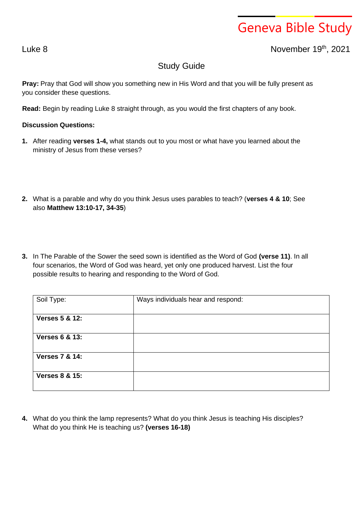## Geneva Bible Study

Luke 8 November 19 th , 2021

## Study Guide

**Pray:** Pray that God will show you something new in His Word and that you will be fully present as you consider these questions.

**Read:** Begin by reading Luke 8 straight through, as you would the first chapters of any book.

## **Discussion Questions:**

- **1.** After reading **verses 1-4,** what stands out to you most or what have you learned about the ministry of Jesus from these verses?
- **2.** What is a parable and why do you think Jesus uses parables to teach? (**verses 4 & 10**; See also **Matthew 13:10-17, 34-35**)
- **3.** In The Parable of the Sower the seed sown is identified as the Word of God **(verse 11)**. In all four scenarios, the Word of God was heard, yet only one produced harvest. List the four possible results to hearing and responding to the Word of God.

| Soil Type:                | Ways individuals hear and respond: |
|---------------------------|------------------------------------|
| <b>Verses 5 &amp; 12:</b> |                                    |
| <b>Verses 6 &amp; 13:</b> |                                    |
| <b>Verses 7 &amp; 14:</b> |                                    |
| <b>Verses 8 &amp; 15:</b> |                                    |

**4.** What do you think the lamp represents? What do you think Jesus is teaching His disciples? What do you think He is teaching us? **(verses 16-18)**